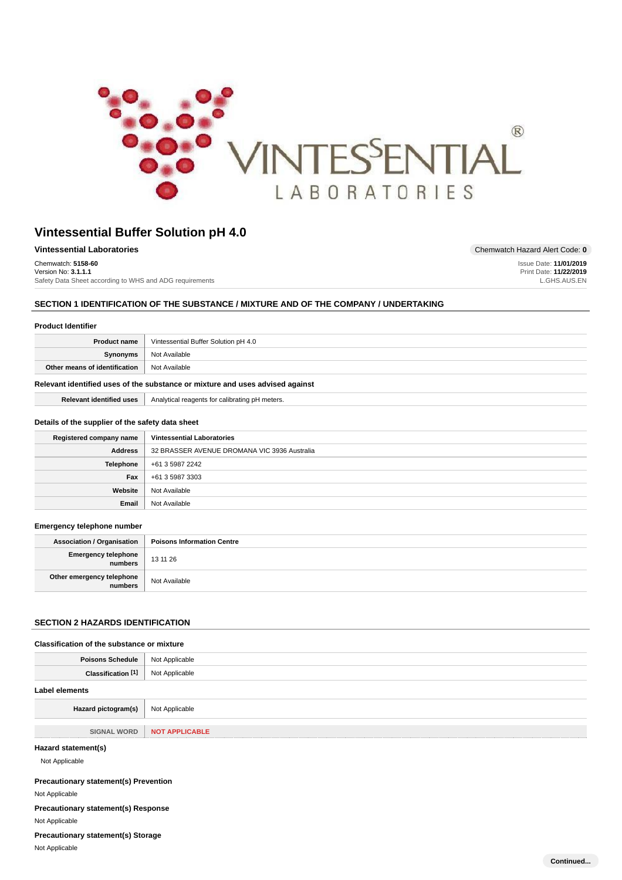

Website Not Available **Email** Not Available

| <b>Vintessential Laboratories</b>                       | Chemwatch Hazard Alert Code: 0 |
|---------------------------------------------------------|--------------------------------|
| Chemwatch: 5158-60                                      | Issue Date: 11/01/2019         |
| Version No: 3.1.1.1                                     | Print Date: 11/22/2019         |
| Safety Data Sheet according to WHS and ADG requirements | L.GHS.AUS.EN                   |

# **SECTION 1 IDENTIFICATION OF THE SUBSTANCE / MIXTURE AND OF THE COMPANY / UNDERTAKING**

| <b>Product Identifier</b>                                                     |                                                |  |  |  |
|-------------------------------------------------------------------------------|------------------------------------------------|--|--|--|
| <b>Product name</b>                                                           | Vintessential Buffer Solution pH 4.0           |  |  |  |
| Synonyms                                                                      | Not Available                                  |  |  |  |
| Other means of identification                                                 | Not Available                                  |  |  |  |
| Relevant identified uses of the substance or mixture and uses advised against |                                                |  |  |  |
| <b>Relevant identified uses</b>                                               | Analytical reagents for calibrating pH meters. |  |  |  |
| Details of the supplier of the safety data sheet                              |                                                |  |  |  |
| Registered company name                                                       | <b>Vintessential Laboratories</b>              |  |  |  |
| <b>Address</b>                                                                | 32 BRASSER AVENUE DROMANA VIC 3936 Australia   |  |  |  |
| <b>Telephone</b>                                                              | +61 3 5987 2242                                |  |  |  |
| Fax                                                                           | +61 3 5987 3303                                |  |  |  |

### **Emergency telephone number**

| Association / Organisation           | <b>Poisons Information Centre</b> |
|--------------------------------------|-----------------------------------|
| Emergency telephone<br>  numbers     | 13 11 26                          |
| Other emergency telephone<br>numbers | Not Available                     |

# **SECTION 2 HAZARDS IDENTIFICATION**

# **Classification of the substance or mixture**

| <b>Poisons Schedule</b>                      | Not Applicable        |  |
|----------------------------------------------|-----------------------|--|
| Classification [1]                           | Not Applicable        |  |
| <b>Label elements</b>                        |                       |  |
| Hazard pictogram(s)                          | Not Applicable        |  |
| <b>SIGNAL WORD</b>                           | <b>NOT APPLICABLE</b> |  |
| Hazard statement(s)<br>Not Applicable        |                       |  |
| <b>Precautionary statement(s) Prevention</b> |                       |  |
| Not Applicable                               |                       |  |
| <b>Precautionary statement(s) Response</b>   |                       |  |

Not Applicable

**Precautionary statement(s) Storage**

Not Applicable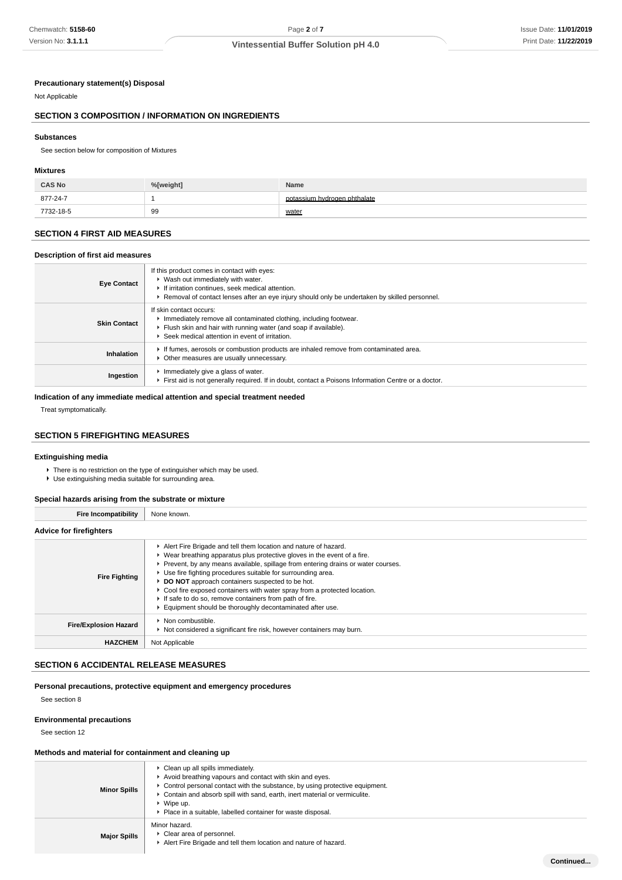**Continued...**

### **Precautionary statement(s) Disposal**

Not Applicable

# **SECTION 3 COMPOSITION / INFORMATION ON INGREDIENTS**

#### **Substances**

See section below for composition of Mixtures

#### **Mixtures**

| <b>CAS No</b> | %[weight] | Name                     |
|---------------|-----------|--------------------------|
| 877-24-7      |           | sium hydrogen phthalate، |
| 7732-18-5     | 99        | water                    |

# **SECTION 4 FIRST AID MEASURES**

#### **Description of first aid measures**

| <b>Eye Contact</b>  | If this product comes in contact with eyes:<br>▶ Wash out immediately with water.<br>If irritation continues, seek medical attention.<br>Removal of contact lenses after an eye injury should only be undertaken by skilled personnel. |
|---------------------|----------------------------------------------------------------------------------------------------------------------------------------------------------------------------------------------------------------------------------------|
| <b>Skin Contact</b> | If skin contact occurs:<br>Immediately remove all contaminated clothing, including footwear.<br>Flush skin and hair with running water (and soap if available).<br>Seek medical attention in event of irritation.                      |
| Inhalation          | If fumes, aerosols or combustion products are inhaled remove from contaminated area.<br>Other measures are usually unnecessary.                                                                                                        |
| Ingestion           | Immediately give a glass of water.<br>First aid is not generally required. If in doubt, contact a Poisons Information Centre or a doctor.                                                                                              |

# **Indication of any immediate medical attention and special treatment needed**

Treat symptomatically.

# **SECTION 5 FIREFIGHTING MEASURES**

#### **Extinguishing media**

- There is no restriction on the type of extinguisher which may be used.
- Use extinguishing media suitable for surrounding area.

# **Special hazards arising from the substrate or mixture**

| <b>Fire Incompatibility</b>    | None known.                                                                                                                                                                                                                                                                                                                                                                                                                                                                                                                                                  |
|--------------------------------|--------------------------------------------------------------------------------------------------------------------------------------------------------------------------------------------------------------------------------------------------------------------------------------------------------------------------------------------------------------------------------------------------------------------------------------------------------------------------------------------------------------------------------------------------------------|
| <b>Advice for firefighters</b> |                                                                                                                                                                                                                                                                                                                                                                                                                                                                                                                                                              |
| <b>Fire Fighting</b>           | Alert Fire Brigade and tell them location and nature of hazard.<br>► Wear breathing apparatus plus protective gloves in the event of a fire.<br>▶ Prevent, by any means available, spillage from entering drains or water courses.<br>▶ Use fire fighting procedures suitable for surrounding area.<br>▶ DO NOT approach containers suspected to be hot.<br>▶ Cool fire exposed containers with water spray from a protected location.<br>If safe to do so, remove containers from path of fire.<br>Equipment should be thoroughly decontaminated after use. |
| <b>Fire/Explosion Hazard</b>   | • Non combustible.<br>▶ Not considered a significant fire risk, however containers may burn.                                                                                                                                                                                                                                                                                                                                                                                                                                                                 |
| <b>HAZCHEM</b>                 | Not Applicable                                                                                                                                                                                                                                                                                                                                                                                                                                                                                                                                               |

# **SECTION 6 ACCIDENTAL RELEASE MEASURES**

#### **Personal precautions, protective equipment and emergency procedures**

See section 8

#### **Environmental precautions**

See section 12

### **Methods and material for containment and cleaning up**

| <b>Minor Spills</b> | • Clean up all spills immediately.<br>Avoid breathing vapours and contact with skin and eyes.<br>$\triangleright$ Control personal contact with the substance, by using protective equipment.<br>Contain and absorb spill with sand, earth, inert material or vermiculite.<br>$\blacktriangleright$ Wipe up.<br>Place in a suitable, labelled container for waste disposal. |
|---------------------|-----------------------------------------------------------------------------------------------------------------------------------------------------------------------------------------------------------------------------------------------------------------------------------------------------------------------------------------------------------------------------|
| <b>Major Spills</b> | Minor hazard.<br>Clear area of personnel.<br>Alert Fire Brigade and tell them location and nature of hazard.                                                                                                                                                                                                                                                                |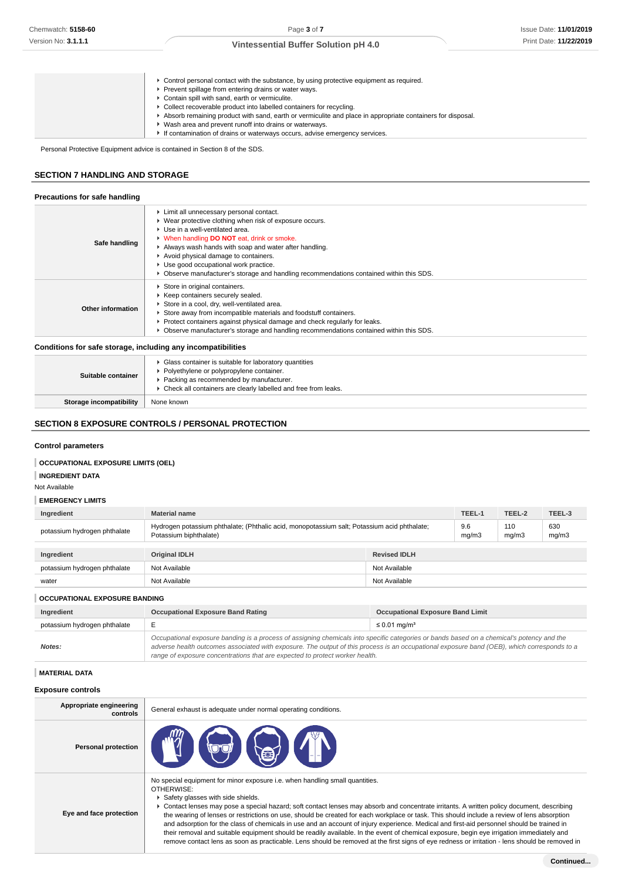| ► Control personal contact with the substance, by using protective equipment as required.                  |
|------------------------------------------------------------------------------------------------------------|
| Prevent spillage from entering drains or water ways.                                                       |
| ▶ Contain spill with sand, earth or vermiculite.                                                           |
| • Collect recoverable product into labelled containers for recycling.                                      |
| Absorb remaining product with sand, earth or vermiculite and place in appropriate containers for disposal. |
| • Wash area and prevent runoff into drains or waterways.                                                   |
| If contamination of drains or waterways occurs, advise emergency services.                                 |

Personal Protective Equipment advice is contained in Section 8 of the SDS.

# **SECTION 7 HANDLING AND STORAGE**

### **Precautions for safe handling**

| Safe handling                                              | Limit all unnecessary personal contact.<br>▶ Wear protective clothing when risk of exposure occurs.<br>▶ Use in a well-ventilated area.<br>• When handling DO NOT eat, drink or smoke.<br>Always wash hands with soap and water after handling.<br>Avoid physical damage to containers.<br>▶ Use good occupational work practice.<br>▶ Observe manufacturer's storage and handling recommendations contained within this SDS. |
|------------------------------------------------------------|-------------------------------------------------------------------------------------------------------------------------------------------------------------------------------------------------------------------------------------------------------------------------------------------------------------------------------------------------------------------------------------------------------------------------------|
| Other information                                          | Store in original containers.<br>▶ Keep containers securely sealed.<br>Store in a cool, dry, well-ventilated area.<br>Store away from incompatible materials and foodstuff containers.<br>► Protect containers against physical damage and check regularly for leaks.<br>▶ Observe manufacturer's storage and handling recommendations contained within this SDS.                                                             |
| Asadhisas for este stereos, healidhea eachartasanath.Https |                                                                                                                                                                                                                                                                                                                                                                                                                               |

**Conditions for safe storage, including any incompatibilities**

| Suitable container      | • Glass container is suitable for laboratory quantities<br>Polyethylene or polypropylene container.<br>▶ Packing as recommended by manufacturer.<br>▶ Check all containers are clearly labelled and free from leaks. |
|-------------------------|----------------------------------------------------------------------------------------------------------------------------------------------------------------------------------------------------------------------|
| Storage incompatibility | None known                                                                                                                                                                                                           |

# **SECTION 8 EXPOSURE CONTROLS / PERSONAL PROTECTION**

#### **Control parameters**

# **OCCUPATIONAL EXPOSURE LIMITS (OEL)**

**INGREDIENT DATA**

Not Available

# **EMERGENCY LIMITS**

| Ingredient                           | <b>Material name</b>                                                                                                  |                     | TEEL-1       | TEEL-2       | TEEL-3       |
|--------------------------------------|-----------------------------------------------------------------------------------------------------------------------|---------------------|--------------|--------------|--------------|
| potassium hydrogen phthalate         | Hydrogen potassium phthalate; (Phthalic acid, monopotassium salt; Potassium acid phthalate;<br>Potassium biphthalate) |                     | 9.6<br>mg/m3 | 110<br>mg/m3 | 630<br>mg/m3 |
|                                      |                                                                                                                       |                     |              |              |              |
| Ingredient                           | <b>Original IDLH</b>                                                                                                  | <b>Revised IDLH</b> |              |              |              |
| potassium hydrogen phthalate         | Not Available                                                                                                         | Not Available       |              |              |              |
| water                                | Not Available                                                                                                         | Not Available       |              |              |              |
| <b>OCCUPATIONAL EXPOSURE BANDING</b> |                                                                                                                       |                     |              |              |              |

| Ingredient                   | <b>Occupational Exposure Band Rating</b>                                                                                                                                                                                                                                                                                                                                 | <b>Occupational Exposure Band Limit</b> |
|------------------------------|--------------------------------------------------------------------------------------------------------------------------------------------------------------------------------------------------------------------------------------------------------------------------------------------------------------------------------------------------------------------------|-----------------------------------------|
| potassium hydrogen phthalate |                                                                                                                                                                                                                                                                                                                                                                          | ≤ 0.01 mg/m <sup>3</sup>                |
| Notes:                       | Occupational exposure banding is a process of assigning chemicals into specific categories or bands based on a chemical's potency and the<br>adverse health outcomes associated with exposure. The output of this process is an occupational exposure band (OEB), which corresponds to a<br>range of exposure concentrations that are expected to protect worker health. |                                         |

#### **MATERIAL DATA**

| <b>MATERIAL DATA</b>                |                                                                                                                                                                                                                                                                                                                                                                                                                                                                                                                                                                                                                                                                                                                                                                                                                                                                            |
|-------------------------------------|----------------------------------------------------------------------------------------------------------------------------------------------------------------------------------------------------------------------------------------------------------------------------------------------------------------------------------------------------------------------------------------------------------------------------------------------------------------------------------------------------------------------------------------------------------------------------------------------------------------------------------------------------------------------------------------------------------------------------------------------------------------------------------------------------------------------------------------------------------------------------|
| Exposure controls                   |                                                                                                                                                                                                                                                                                                                                                                                                                                                                                                                                                                                                                                                                                                                                                                                                                                                                            |
| Appropriate engineering<br>controls | General exhaust is adequate under normal operating conditions.                                                                                                                                                                                                                                                                                                                                                                                                                                                                                                                                                                                                                                                                                                                                                                                                             |
| <b>Personal protection</b>          |                                                                                                                                                                                                                                                                                                                                                                                                                                                                                                                                                                                                                                                                                                                                                                                                                                                                            |
| Eye and face protection             | No special equipment for minor exposure i.e. when handling small quantities.<br>OTHERWISE:<br>Safety glasses with side shields.<br>► Contact lenses may pose a special hazard; soft contact lenses may absorb and concentrate irritants. A written policy document, describing<br>the wearing of lenses or restrictions on use, should be created for each workplace or task. This should include a review of lens absorption<br>and adsorption for the class of chemicals in use and an account of injury experience. Medical and first-aid personnel should be trained in<br>their removal and suitable equipment should be readily available. In the event of chemical exposure, begin eye irrigation immediately and<br>remove contact lens as soon as practicable. Lens should be removed at the first signs of eye redness or irritation - lens should be removed in |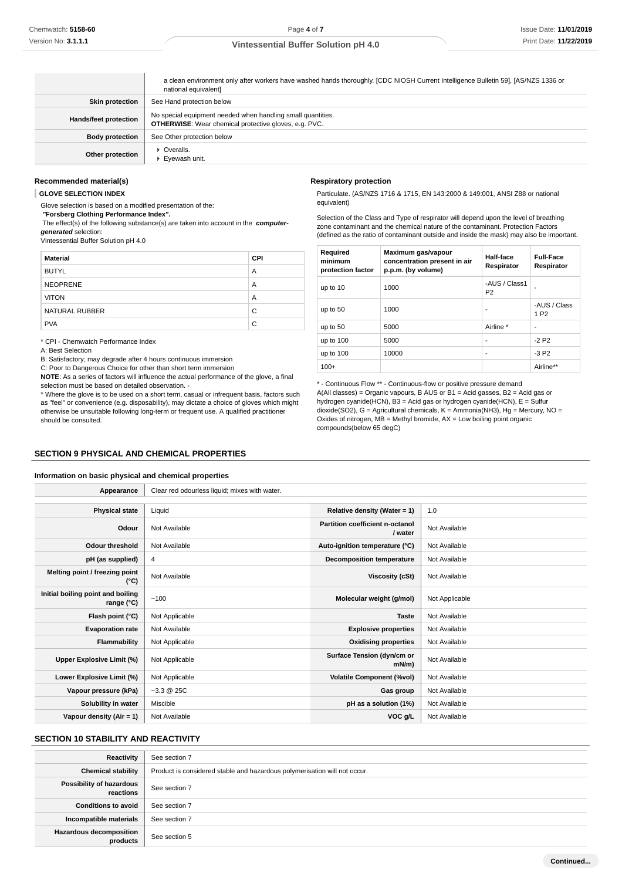|                        | a clean environment only after workers have washed hands thoroughly. [CDC NIOSH Current Intelligence Bulletin 59], [AS/NZS 1336 or<br>national equivalent] |
|------------------------|------------------------------------------------------------------------------------------------------------------------------------------------------------|
| <b>Skin protection</b> | See Hand protection below                                                                                                                                  |
| Hands/feet protection  | No special equipment needed when handling small quantities.<br><b>OTHERWISE:</b> Wear chemical protective gloves, e.g. PVC.                                |
| <b>Body protection</b> | See Other protection below                                                                                                                                 |
| Other protection       | Overalls.<br>Eyewash unit.                                                                                                                                 |

#### **Recommended material(s)**

**GLOVE SELECTION INDEX**

Glove selection is based on a modified presentation of the:  **"Forsberg Clothing Performance Index".**

 The effect(s) of the following substance(s) are taken into account in the **computergenerated** selection:

Vintessential Buffer Solution pH 4.0

| <b>Material</b> | CPI |
|-----------------|-----|
| <b>BUTYL</b>    | A   |
| <b>NEOPRENE</b> | A   |
| <b>VITON</b>    | A   |
| NATURAL RUBBER  | C   |
| <b>PVA</b>      | C   |

\* CPI - Chemwatch Performance Index

A: Best Selection

B: Satisfactory; may degrade after 4 hours continuous immersion

C: Poor to Dangerous Choice for other than short term immersion

**NOTE**: As a series of factors will influence the actual performance of the glove, a final selection must be based on detailed observation. -

\* Where the glove is to be used on a short term, casual or infrequent basis, factors such as "feel" or convenience (e.g. disposability), may dictate a choice of gloves which might otherwise be unsuitable following long-term or frequent use. A qualified practitioner should be consulted.

#### **Respiratory protection**

Particulate. (AS/NZS 1716 & 1715, EN 143:2000 & 149:001, ANSI Z88 or national equivalent)

Selection of the Class and Type of respirator will depend upon the level of breathing zone contaminant and the chemical nature of the contaminant. Protection Factors (defined as the ratio of contaminant outside and inside the mask) may also be important.

| Required<br>minimum<br>protection factor | Maximum gas/vapour<br>concentration present in air<br>p.p.m. (by volume) | Half-face<br>Respirator         | <b>Full-Face</b><br>Respirator   |
|------------------------------------------|--------------------------------------------------------------------------|---------------------------------|----------------------------------|
| up to 10                                 | 1000                                                                     | -AUS / Class1<br>P <sub>2</sub> |                                  |
| up to 50                                 | 1000                                                                     | ٠                               | -AUS / Class<br>1 P <sub>2</sub> |
| up to 50                                 | 5000                                                                     | Airline *                       | ۰                                |
| up to $100$                              | 5000                                                                     | ٠                               | $-2P2$                           |
| up to 100                                | 10000                                                                    | ٠                               | $-3P2$                           |
| $100+$                                   |                                                                          |                                 | Airline**                        |

\* - Continuous Flow \*\* - Continuous-flow or positive pressure demand A(All classes) = Organic vapours, B AUS or B1 = Acid gasses, B2 = Acid gas or hydrogen cyanide(HCN), B3 = Acid gas or hydrogen cyanide(HCN), E = Sulfur dioxide(SO2), G = Agricultural chemicals, K = Ammonia(NH3), Hg = Mercury, NO = Oxides of nitrogen,  $MB =$  Methyl bromide,  $AX =$  Low boiling point organic compounds(below 65 degC)

### **SECTION 9 PHYSICAL AND CHEMICAL PROPERTIES**

### **Information on basic physical and chemical properties**

| Appearance                                      | Clear red odourless liquid; mixes with water. |                                            |                |
|-------------------------------------------------|-----------------------------------------------|--------------------------------------------|----------------|
|                                                 |                                               |                                            |                |
| <b>Physical state</b>                           | Liquid                                        | Relative density (Water = 1)               | 1.0            |
| Odour                                           | Not Available                                 | Partition coefficient n-octanol<br>/ water | Not Available  |
| <b>Odour threshold</b>                          | Not Available                                 | Auto-ignition temperature (°C)             | Not Available  |
| pH (as supplied)                                | 4                                             | <b>Decomposition temperature</b>           | Not Available  |
| Melting point / freezing point<br>(°C)          | Not Available                                 | Viscosity (cSt)                            | Not Available  |
| Initial boiling point and boiling<br>range (°C) | ~100                                          | Molecular weight (g/mol)                   | Not Applicable |
| Flash point (°C)                                | Not Applicable                                | <b>Taste</b>                               | Not Available  |
| <b>Evaporation rate</b>                         | Not Available                                 | <b>Explosive properties</b>                | Not Available  |
| Flammability                                    | Not Applicable                                | <b>Oxidising properties</b>                | Not Available  |
| Upper Explosive Limit (%)                       | Not Applicable                                | Surface Tension (dyn/cm or<br>$mN/m$ )     | Not Available  |
| Lower Explosive Limit (%)                       | Not Applicable                                | <b>Volatile Component (%vol)</b>           | Not Available  |
| Vapour pressure (kPa)                           | $-3.3 \ @ \ 25C$                              | Gas group                                  | Not Available  |
| Solubility in water                             | Miscible                                      | pH as a solution (1%)                      | Not Available  |
| Vapour density $(Air = 1)$                      | Not Available                                 | VOC g/L                                    | Not Available  |

### **SECTION 10 STABILITY AND REACTIVITY**

| Reactivity                                   | See section 7                                                             |
|----------------------------------------------|---------------------------------------------------------------------------|
| <b>Chemical stability</b>                    | Product is considered stable and hazardous polymerisation will not occur. |
| <b>Possibility of hazardous</b><br>reactions | See section 7                                                             |
| <b>Conditions to avoid</b>                   | See section 7                                                             |
| Incompatible materials                       | See section 7                                                             |
| <b>Hazardous decomposition</b><br>products   | See section 5                                                             |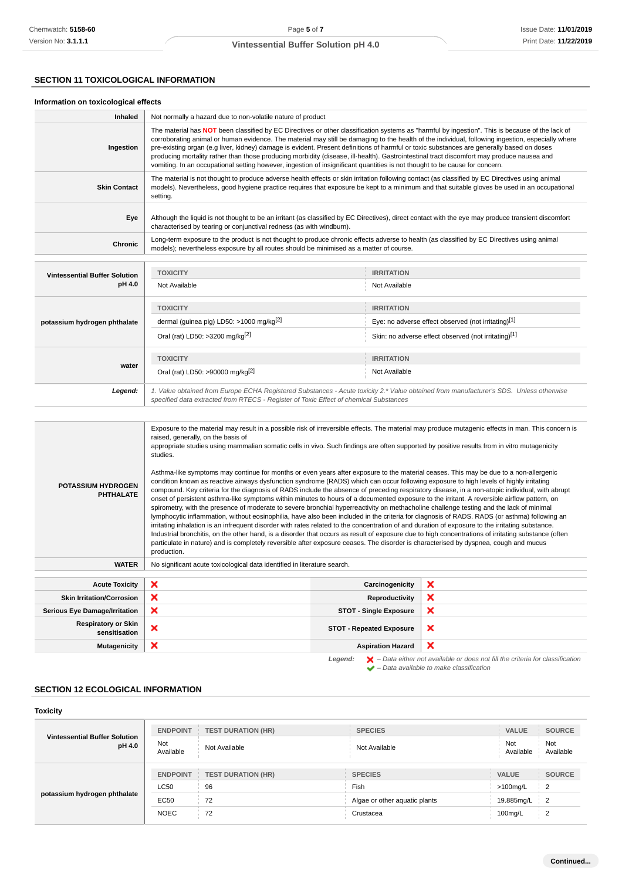# **SECTION 11 TOXICOLOGICAL INFORMATION**

### **Information on toxicological effects**

| Inhaled                              | Not normally a hazard due to non-volatile nature of product                                                                                                                                                                                                                                                                                                                                                                                                                                                                                                                                                                                                                                                                   |                                                      |  |
|--------------------------------------|-------------------------------------------------------------------------------------------------------------------------------------------------------------------------------------------------------------------------------------------------------------------------------------------------------------------------------------------------------------------------------------------------------------------------------------------------------------------------------------------------------------------------------------------------------------------------------------------------------------------------------------------------------------------------------------------------------------------------------|------------------------------------------------------|--|
| Ingestion                            | The material has NOT been classified by EC Directives or other classification systems as "harmful by ingestion". This is because of the lack of<br>corroborating animal or human evidence. The material may still be damaging to the health of the individual, following ingestion, especially where<br>pre-existing organ (e.g liver, kidney) damage is evident. Present definitions of harmful or toxic substances are generally based on doses<br>producing mortality rather than those producing morbidity (disease, ill-health). Gastrointestinal tract discomfort may produce nausea and<br>vomiting. In an occupational setting however, ingestion of insignificant quantities is not thought to be cause for concern. |                                                      |  |
| <b>Skin Contact</b>                  | The material is not thought to produce adverse health effects or skin irritation following contact (as classified by EC Directives using animal<br>models). Nevertheless, good hygiene practice requires that exposure be kept to a minimum and that suitable gloves be used in an occupational<br>setting.                                                                                                                                                                                                                                                                                                                                                                                                                   |                                                      |  |
| Eye                                  | Although the liquid is not thought to be an irritant (as classified by EC Directives), direct contact with the eye may produce transient discomfort<br>characterised by tearing or conjunctival redness (as with windburn).                                                                                                                                                                                                                                                                                                                                                                                                                                                                                                   |                                                      |  |
| Chronic                              | Long-term exposure to the product is not thought to produce chronic effects adverse to health (as classified by EC Directives using animal<br>models); nevertheless exposure by all routes should be minimised as a matter of course.                                                                                                                                                                                                                                                                                                                                                                                                                                                                                         |                                                      |  |
|                                      |                                                                                                                                                                                                                                                                                                                                                                                                                                                                                                                                                                                                                                                                                                                               |                                                      |  |
| <b>Vintessential Buffer Solution</b> | <b>TOXICITY</b>                                                                                                                                                                                                                                                                                                                                                                                                                                                                                                                                                                                                                                                                                                               | <b>IRRITATION</b>                                    |  |
| pH 4.0                               | Not Available                                                                                                                                                                                                                                                                                                                                                                                                                                                                                                                                                                                                                                                                                                                 | Not Available                                        |  |
|                                      | <b>TOXICITY</b>                                                                                                                                                                                                                                                                                                                                                                                                                                                                                                                                                                                                                                                                                                               | <b>IRRITATION</b>                                    |  |
| potassium hydrogen phthalate         | dermal (quinea pig) LD50: >1000 mg/kg $[2]$                                                                                                                                                                                                                                                                                                                                                                                                                                                                                                                                                                                                                                                                                   | Eye: no adverse effect observed (not irritating)[1]  |  |
|                                      | Oral (rat) LD50: >3200 mg/kg <sup>[2]</sup>                                                                                                                                                                                                                                                                                                                                                                                                                                                                                                                                                                                                                                                                                   | Skin: no adverse effect observed (not irritating)[1] |  |
|                                      | <b>TOXICITY</b>                                                                                                                                                                                                                                                                                                                                                                                                                                                                                                                                                                                                                                                                                                               | <b>IRRITATION</b>                                    |  |
| water                                | Oral (rat) LD50: >90000 mg/kg <sup>[2]</sup>                                                                                                                                                                                                                                                                                                                                                                                                                                                                                                                                                                                                                                                                                  | Not Available                                        |  |
| Legend:                              | 1. Value obtained from Europe ECHA Registered Substances - Acute toxicity 2.* Value obtained from manufacturer's SDS. Unless otherwise<br>specified data extracted from RTECS - Register of Toxic Effect of chemical Substances                                                                                                                                                                                                                                                                                                                                                                                                                                                                                               |                                                      |  |
|                                      |                                                                                                                                                                                                                                                                                                                                                                                                                                                                                                                                                                                                                                                                                                                               |                                                      |  |

| <b>POTASSIUM HYDROGEN</b><br><b>PHTHALATE</b> | Exposure to the material may result in a possible risk of irreversible effects. The material may produce mutagenic effects in man. This concern is<br>raised, generally, on the basis of<br>appropriate studies using mammalian somatic cells in vivo. Such findings are often supported by positive results from in vitro mutagenicity<br>studies.<br>Asthma-like symptoms may continue for months or even years after exposure to the material ceases. This may be due to a non-allergenic<br>condition known as reactive airways dysfunction syndrome (RADS) which can occur following exposure to high levels of highly irritating<br>compound. Key criteria for the diagnosis of RADS include the absence of preceding respiratory disease, in a non-atopic individual, with abrupt<br>onset of persistent asthma-like symptoms within minutes to hours of a documented exposure to the irritant. A reversible airflow pattern, on<br>spirometry, with the presence of moderate to severe bronchial hyperreactivity on methacholine challenge testing and the lack of minimal<br>lymphocytic inflammation, without eosinophilia, have also been included in the criteria for diagnosis of RADS. RADS (or asthma) following an<br>irritating inhalation is an infrequent disorder with rates related to the concentration of and duration of exposure to the irritating substance.<br>Industrial bronchitis, on the other hand, is a disorder that occurs as result of exposure due to high concentrations of irritating substance (often<br>particulate in nature) and is completely reversible after exposure ceases. The disorder is characterised by dyspnea, cough and mucus<br>production. |                                 |                                                                                    |
|-----------------------------------------------|------------------------------------------------------------------------------------------------------------------------------------------------------------------------------------------------------------------------------------------------------------------------------------------------------------------------------------------------------------------------------------------------------------------------------------------------------------------------------------------------------------------------------------------------------------------------------------------------------------------------------------------------------------------------------------------------------------------------------------------------------------------------------------------------------------------------------------------------------------------------------------------------------------------------------------------------------------------------------------------------------------------------------------------------------------------------------------------------------------------------------------------------------------------------------------------------------------------------------------------------------------------------------------------------------------------------------------------------------------------------------------------------------------------------------------------------------------------------------------------------------------------------------------------------------------------------------------------------------------------------------------------------------------------------------------------------------|---------------------------------|------------------------------------------------------------------------------------|
| <b>WATER</b>                                  | No significant acute toxicological data identified in literature search.                                                                                                                                                                                                                                                                                                                                                                                                                                                                                                                                                                                                                                                                                                                                                                                                                                                                                                                                                                                                                                                                                                                                                                                                                                                                                                                                                                                                                                                                                                                                                                                                                             |                                 |                                                                                    |
|                                               |                                                                                                                                                                                                                                                                                                                                                                                                                                                                                                                                                                                                                                                                                                                                                                                                                                                                                                                                                                                                                                                                                                                                                                                                                                                                                                                                                                                                                                                                                                                                                                                                                                                                                                      |                                 |                                                                                    |
| <b>Acute Toxicity</b>                         | ×                                                                                                                                                                                                                                                                                                                                                                                                                                                                                                                                                                                                                                                                                                                                                                                                                                                                                                                                                                                                                                                                                                                                                                                                                                                                                                                                                                                                                                                                                                                                                                                                                                                                                                    | Carcinogenicity                 | ×                                                                                  |
| <b>Skin Irritation/Corrosion</b>              | ×                                                                                                                                                                                                                                                                                                                                                                                                                                                                                                                                                                                                                                                                                                                                                                                                                                                                                                                                                                                                                                                                                                                                                                                                                                                                                                                                                                                                                                                                                                                                                                                                                                                                                                    | Reproductivity                  | ×                                                                                  |
| <b>Serious Eye Damage/Irritation</b>          | ×                                                                                                                                                                                                                                                                                                                                                                                                                                                                                                                                                                                                                                                                                                                                                                                                                                                                                                                                                                                                                                                                                                                                                                                                                                                                                                                                                                                                                                                                                                                                                                                                                                                                                                    | <b>STOT - Single Exposure</b>   | ×                                                                                  |
| <b>Respiratory or Skin</b><br>sensitisation   | ×                                                                                                                                                                                                                                                                                                                                                                                                                                                                                                                                                                                                                                                                                                                                                                                                                                                                                                                                                                                                                                                                                                                                                                                                                                                                                                                                                                                                                                                                                                                                                                                                                                                                                                    | <b>STOT - Repeated Exposure</b> | ×                                                                                  |
| <b>Mutagenicity</b>                           | ×                                                                                                                                                                                                                                                                                                                                                                                                                                                                                                                                                                                                                                                                                                                                                                                                                                                                                                                                                                                                                                                                                                                                                                                                                                                                                                                                                                                                                                                                                                                                                                                                                                                                                                    | <b>Aspiration Hazard</b>        | ×                                                                                  |
|                                               |                                                                                                                                                                                                                                                                                                                                                                                                                                                                                                                                                                                                                                                                                                                                                                                                                                                                                                                                                                                                                                                                                                                                                                                                                                                                                                                                                                                                                                                                                                                                                                                                                                                                                                      |                                 | Lomand: Data aithor not quailable or does not fill the exiteria for elegation tion |

**Legend:**  $\mathbf{X}$  – Data either not available or does not fill the criteria for classification – Data available to make classification

# **SECTION 12 ECOLOGICAL INFORMATION**

| <b>Toxicity</b>                                |                  |                           |                               |                                      |
|------------------------------------------------|------------------|---------------------------|-------------------------------|--------------------------------------|
| <b>Vintessential Buffer Solution</b><br>pH 4.0 | <b>ENDPOINT</b>  | <b>TEST DURATION (HR)</b> | <b>SPECIES</b>                | <b>SOURCE</b><br><b>VALUE</b>        |
|                                                | Not<br>Available | Not Available             | Not Available                 | Not<br>Not<br>Available<br>Available |
|                                                | <b>ENDPOINT</b>  | <b>TEST DURATION (HR)</b> | <b>SPECIES</b>                | <b>SOURCE</b><br><b>VALUE</b>        |
| potassium hydrogen phthalate                   | <b>LC50</b>      | 96                        | Fish                          | $>100$ mg/L<br>2                     |
|                                                | EC50             | 72                        | Algae or other aquatic plants | 19.885mg/L<br>2                      |
|                                                | <b>NOEC</b>      | 72                        | Crustacea                     | 100mg/L<br>2                         |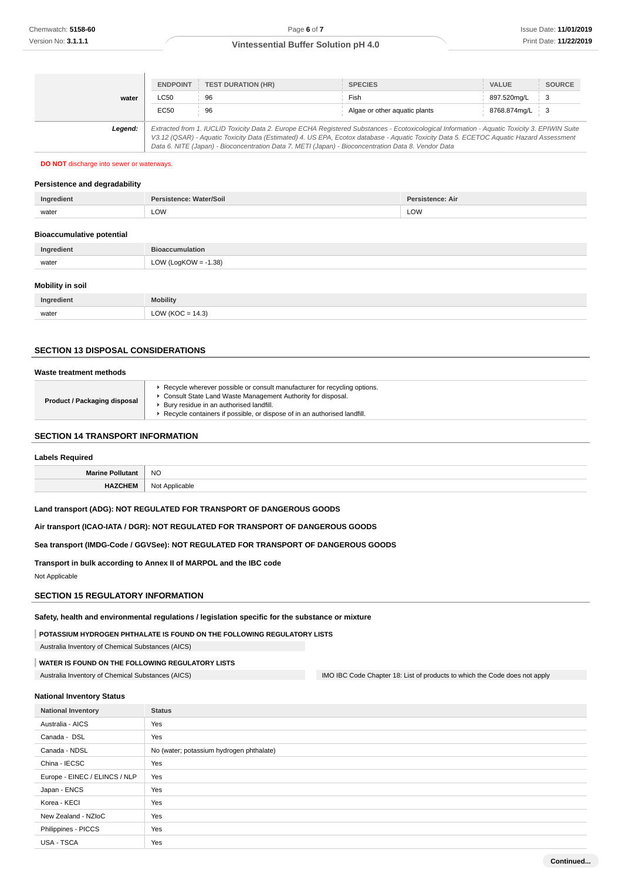|         | <b>ENDPOINT</b>                                                                                                                                                                                                                                                                                                                                                                                 | <b>TEST DURATION (HR)</b> | <b>SPECIES</b>                | <b>VALUE</b> | <b>SOURCE</b>   |
|---------|-------------------------------------------------------------------------------------------------------------------------------------------------------------------------------------------------------------------------------------------------------------------------------------------------------------------------------------------------------------------------------------------------|---------------------------|-------------------------------|--------------|-----------------|
| water   | <b>LC50</b>                                                                                                                                                                                                                                                                                                                                                                                     | 96                        | Fish                          | 897.520mg/L  | $\frac{1}{2}$ 3 |
|         | EC50                                                                                                                                                                                                                                                                                                                                                                                            | 96                        | Algae or other aquatic plants | 8768.874mg/L | - 3             |
| Legend: | Extracted from 1. IUCLID Toxicity Data 2. Europe ECHA Registered Substances - Ecotoxicological Information - Aquatic Toxicity 3. EPIWIN Suite<br>V3.12 (QSAR) - Aquatic Toxicity Data (Estimated) 4. US EPA, Ecotox database - Aquatic Toxicity Data 5. ECETOC Aquatic Hazard Assessment<br>Data 6. NITE (Japan) - Bioconcentration Data 7. METI (Japan) - Bioconcentration Data 8. Vendor Data |                           |                               |              |                 |

#### **DO NOT** discharge into sewer or waterways.

# **Persistence and degradability**

| Ingredient | 'Soil | п<br>All |
|------------|-------|----------|
| water      | LOW   | LOW      |

### **Bioaccumulative potential**

| Ingredient       | <b>Bioaccumulation</b> |  |  |
|------------------|------------------------|--|--|
| water            | LOW (LogKOW = -1.38)   |  |  |
| Mobility in soil |                        |  |  |

# **Ingredient Mobility** water  $LOW (KOC = 14.3)$

# **SECTION 13 DISPOSAL CONSIDERATIONS**

#### **Waste treatment methods**

| ► Recycle wherever possible or consult manufacturer for recycling options.<br>Consult State Land Waste Management Authority for disposal.<br>Product / Packaging disposal<br>Bury residue in an authorised landfill.<br>Recycle containers if possible, or dispose of in an authorised landfill. |  |
|--------------------------------------------------------------------------------------------------------------------------------------------------------------------------------------------------------------------------------------------------------------------------------------------------|--|
|--------------------------------------------------------------------------------------------------------------------------------------------------------------------------------------------------------------------------------------------------------------------------------------------------|--|

# **SECTION 14 TRANSPORT INFORMATION**

# **Labels Required Marine Pollutant** NO **HAZCHEM** Not Applicable

# **Land transport (ADG): NOT REGULATED FOR TRANSPORT OF DANGEROUS GOODS**

**Air transport (ICAO-IATA / DGR): NOT REGULATED FOR TRANSPORT OF DANGEROUS GOODS**

#### **Sea transport (IMDG-Code / GGVSee): NOT REGULATED FOR TRANSPORT OF DANGEROUS GOODS**

**Transport in bulk according to Annex II of MARPOL and the IBC code** Not Applicable

#### **SECTION 15 REGULATORY INFORMATION**

**Safety, health and environmental regulations / legislation specific for the substance or mixture**

**POTASSIUM HYDROGEN PHTHALATE IS FOUND ON THE FOLLOWING REGULATORY LISTS**

Australia Inventory of Chemical Substances (AICS)

#### **WATER IS FOUND ON THE FOLLOWING REGULATORY LISTS**

Australia Inventory of Chemical Substances (AICS) IMO IBC Code Chapter 18: List of products to which the Code does not apply

#### **National Inventory Status**

| <b>National Inventory</b>     | <b>Status</b>                            |  |  |
|-------------------------------|------------------------------------------|--|--|
| Australia - AICS              | Yes                                      |  |  |
| Canada - DSL                  | Yes                                      |  |  |
| Canada - NDSL                 | No (water; potassium hydrogen phthalate) |  |  |
| China - IECSC                 | Yes                                      |  |  |
| Europe - EINEC / ELINCS / NLP | Yes                                      |  |  |
| Japan - ENCS                  | Yes                                      |  |  |
| Korea - KECI                  | Yes                                      |  |  |
| New Zealand - NZIoC           | Yes                                      |  |  |
| Philippines - PICCS           | Yes                                      |  |  |
| USA - TSCA                    | Yes                                      |  |  |